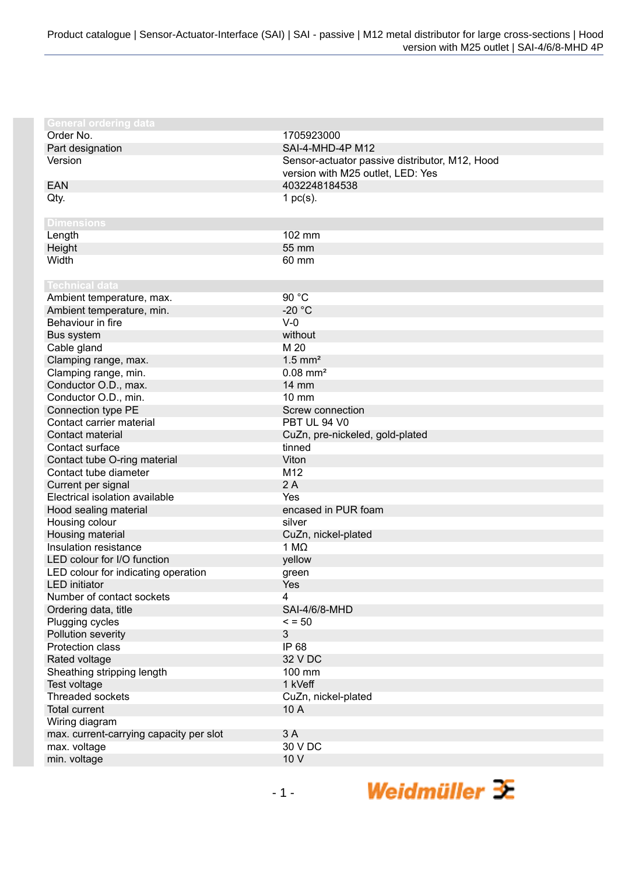| <b>General ordering data</b>                            |                                                |
|---------------------------------------------------------|------------------------------------------------|
| Order No.                                               | 1705923000                                     |
| Part designation                                        | SAI-4-MHD-4P M12                               |
| Version                                                 | Sensor-actuator passive distributor, M12, Hood |
|                                                         | version with M25 outlet, LED: Yes              |
| <b>EAN</b>                                              | 4032248184538                                  |
| Qty.                                                    | 1 $pc(s)$ .                                    |
|                                                         |                                                |
| <b>Dimensions</b>                                       |                                                |
| Length                                                  | 102 mm                                         |
| Height                                                  | 55 mm                                          |
| Width                                                   | 60 mm                                          |
|                                                         |                                                |
| <b>Technical data</b>                                   |                                                |
| Ambient temperature, max.                               | 90 °C                                          |
| Ambient temperature, min.                               | $-20 °C$                                       |
| Behaviour in fire                                       | $V-0$                                          |
| Bus system                                              | without                                        |
| Cable gland                                             | M 20                                           |
| Clamping range, max.                                    | $1.5$ mm <sup>2</sup>                          |
| Clamping range, min.                                    | $0.08$ mm <sup>2</sup>                         |
| Conductor O.D., max.                                    | <b>14 mm</b>                                   |
| Conductor O.D., min.                                    | 10 mm                                          |
| Connection type PE                                      | Screw connection                               |
| Contact carrier material                                | PBT UL 94 V0                                   |
| Contact material                                        | CuZn, pre-nickeled, gold-plated                |
| Contact surface                                         | tinned                                         |
| Contact tube O-ring material                            | Viton                                          |
| Contact tube diameter                                   | M12                                            |
| Current per signal                                      | 2A                                             |
| Electrical isolation available                          | Yes                                            |
| Hood sealing material                                   | encased in PUR foam                            |
| Housing colour                                          | silver                                         |
| Housing material                                        | CuZn, nickel-plated                            |
| Insulation resistance                                   | 1 M $\Omega$                                   |
| LED colour for I/O function                             | yellow                                         |
| LED colour for indicating operation                     | green                                          |
| LED initiator                                           | Yes                                            |
| Number of contact sockets                               | 4                                              |
| Ordering data, title                                    | <b>SAI-4/6/8-MHD</b>                           |
| Plugging cycles                                         | $\le$ = 50                                     |
| Pollution severity<br>Protection class                  | 3                                              |
|                                                         | IP 68                                          |
| Rated voltage                                           | 32 V DC                                        |
| Sheathing stripping length                              | 100 mm                                         |
| Test voltage<br>Threaded sockets                        | 1 kVeff                                        |
| <b>Total current</b>                                    | CuZn, nickel-plated                            |
|                                                         | 10 A                                           |
| Wiring diagram                                          | 3A                                             |
| max. current-carrying capacity per slot<br>max. voltage | 30 V DC                                        |
| min. voltage                                            | 10 V                                           |
|                                                         |                                                |

Weidmüller  $\mathcal{\mathcal{F}}$